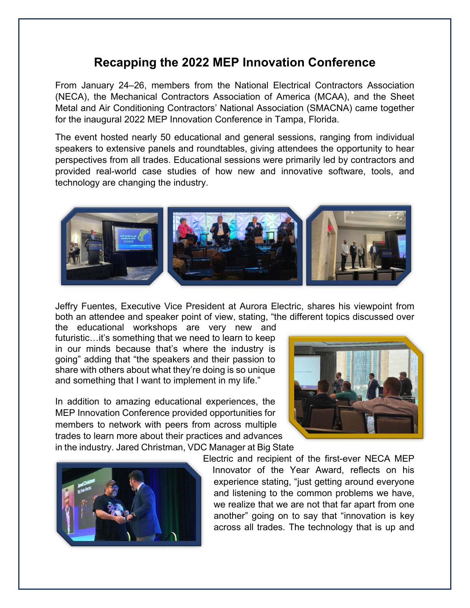## **Recapping the 2022 MEP Innovation Conference**

From January 24–26, members from the National Electrical Contractors Association (NECA), the Mechanical Contractors Association of America (MCAA), and the Sheet Metal and Air Conditioning Contractors' National Association (SMACNA) came together for the inaugural 2022 MEP Innovation Conference in Tampa, Florida.

The event hosted nearly 50 educational and general sessions, ranging from individual speakers to extensive panels and roundtables, giving attendees the opportunity to hear perspectives from all trades. Educational sessions were primarily led by contractors and provided real-world case studies of how new and innovative software, tools, and technology are changing the industry.



Jeffry Fuentes, Executive Vice President at Aurora Electric, shares his viewpoint from both an attendee and speaker point of view, stating, "the different topics discussed over

the educational workshops are very new and futuristic…it's something that we need to learn to keep in our minds because that's where the industry is going" adding that "the speakers and their passion to share with others about what they're doing is so unique and something that I want to implement in my life."

In addition to amazing educational experiences, the MEP Innovation Conference provided opportunities for members to network with peers from across multiple trades to learn more about their practices and advances in the industry. Jared Christman, VDC Manager at Big State





Electric and recipient of the first-ever NECA MEP Innovator of the Year Award, reflects on his experience stating, "just getting around everyone and listening to the common problems we have, we realize that we are not that far apart from one another" going on to say that "innovation is key across all trades. The technology that is up and